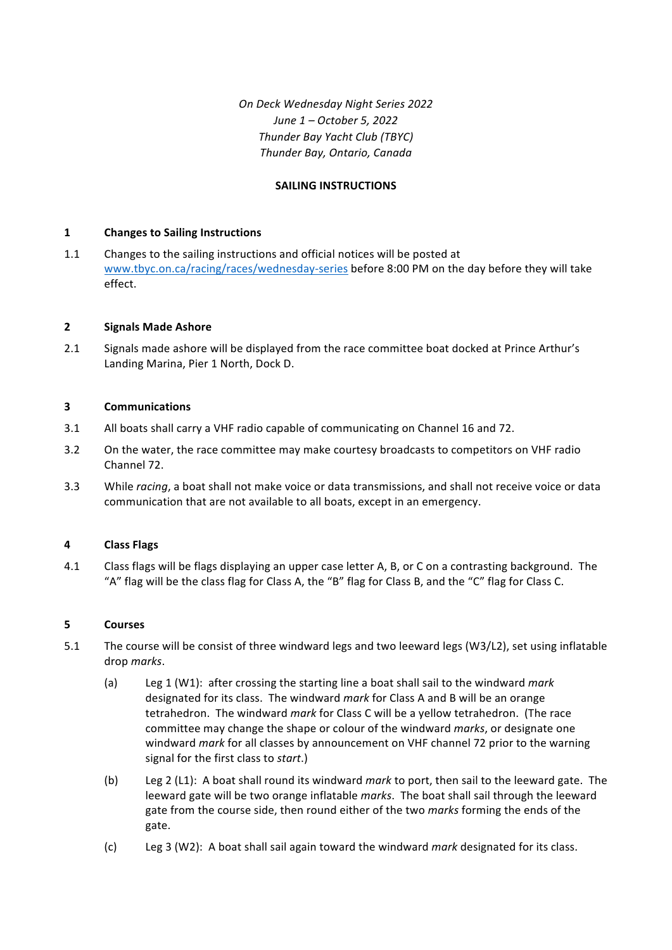*On Deck Wednesday Night Series 2022 June 1 – October 5, 2022 Thunder Bay Yacht Club (TBYC) Thunder Bay, Ontario, Canada*

## **SAILING INSTRUCTIONS**

## **1 Changes to Sailing Instructions**

1.1 Changes to the sailing instructions and official notices will be posted at www.tbyc.on.ca/racing/races/wednesday-series before 8:00 PM on the day before they will take effect. 

# **2 Signals Made Ashore**

2.1 Signals made ashore will be displayed from the race committee boat docked at Prince Arthur's Landing Marina, Pier 1 North, Dock D.

# **3 Communications**

- 3.1 All boats shall carry a VHF radio capable of communicating on Channel 16 and 72.
- 3.2 On the water, the race committee may make courtesy broadcasts to competitors on VHF radio Channel 72.
- 3.3 While *racing*, a boat shall not make voice or data transmissions, and shall not receive voice or data communication that are not available to all boats, except in an emergency.

## **4 Class Flags**

4.1 Class flags will be flags displaying an upper case letter A, B, or C on a contrasting background. The "A" flag will be the class flag for Class A, the "B" flag for Class B, and the "C" flag for Class C.

## **5 Courses**

- 5.1 The course will be consist of three windward legs and two leeward legs (W3/L2), set using inflatable drop *marks*.
	- (a) Leg 1 (W1): after crossing the starting line a boat shall sail to the windward *mark* designated for its class. The windward *mark* for Class A and B will be an orange tetrahedron. The windward *mark* for Class C will be a yellow tetrahedron. (The race committee may change the shape or colour of the windward *marks*, or designate one windward *mark* for all classes by announcement on VHF channel 72 prior to the warning signal for the first class to *start*.)
	- (b) Leg 2 (L1): A boat shall round its windward *mark* to port, then sail to the leeward gate. The leeward gate will be two orange inflatable marks. The boat shall sail through the leeward gate from the course side, then round either of the two *marks* forming the ends of the gate.
	- (c) Leg 3 (W2): A boat shall sail again toward the windward *mark* designated for its class.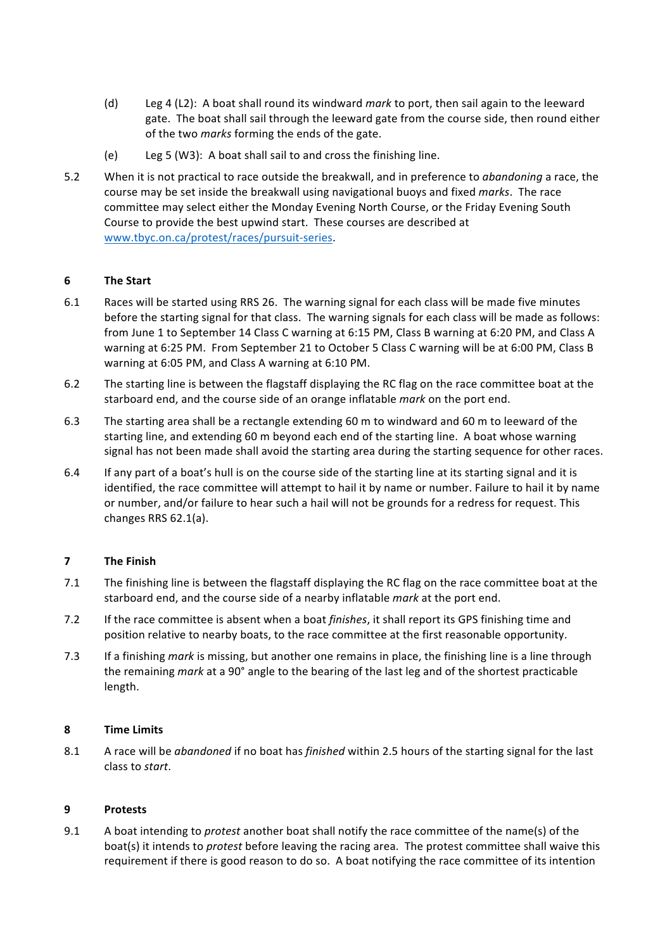- (d) Leg 4 (L2): A boat shall round its windward *mark* to port, then sail again to the leeward gate. The boat shall sail through the leeward gate from the course side, then round either of the two *marks* forming the ends of the gate.
- (e) Leg 5 (W3): A boat shall sail to and cross the finishing line.
- 5.2 When it is not practical to race outside the breakwall, and in preference to *abandoning* a race, the course may be set inside the breakwall using navigational buoys and fixed *marks*. The race committee may select either the Monday Evening North Course, or the Friday Evening South Course to provide the best upwind start. These courses are described at www.tbyc.on.ca/protest/races/pursuit-series.

## **6 The Start**

- 6.1 Races will be started using RRS 26. The warning signal for each class will be made five minutes before the starting signal for that class. The warning signals for each class will be made as follows: from June 1 to September 14 Class C warning at 6:15 PM, Class B warning at 6:20 PM, and Class A warning at 6:25 PM. From September 21 to October 5 Class C warning will be at 6:00 PM, Class B warning at 6:05 PM, and Class A warning at 6:10 PM.
- 6.2 The starting line is between the flagstaff displaying the RC flag on the race committee boat at the starboard end, and the course side of an orange inflatable *mark* on the port end.
- 6.3 The starting area shall be a rectangle extending 60 m to windward and 60 m to leeward of the starting line, and extending 60 m beyond each end of the starting line. A boat whose warning signal has not been made shall avoid the starting area during the starting sequence for other races.
- 6.4 If any part of a boat's hull is on the course side of the starting line at its starting signal and it is identified, the race committee will attempt to hail it by name or number. Failure to hail it by name or number, and/or failure to hear such a hail will not be grounds for a redress for request. This changes RRS 62.1(a).

# **7 The Finish**

- 7.1 The finishing line is between the flagstaff displaying the RC flag on the race committee boat at the starboard end, and the course side of a nearby inflatable *mark* at the port end.
- 7.2 If the race committee is absent when a boat *finishes*, it shall report its GPS finishing time and position relative to nearby boats, to the race committee at the first reasonable opportunity.
- 7.3 If a finishing *mark* is missing, but another one remains in place, the finishing line is a line through the remaining *mark* at a 90° angle to the bearing of the last leg and of the shortest practicable length.

## **8 Time Limits**

8.1 A race will be *abandoned* if no boat has *finished* within 2.5 hours of the starting signal for the last class to *start*.

# **9 Protests**

9.1 A boat intending to *protest* another boat shall notify the race committee of the name(s) of the boat(s) it intends to *protest* before leaving the racing area. The protest committee shall waive this requirement if there is good reason to do so. A boat notifying the race committee of its intention